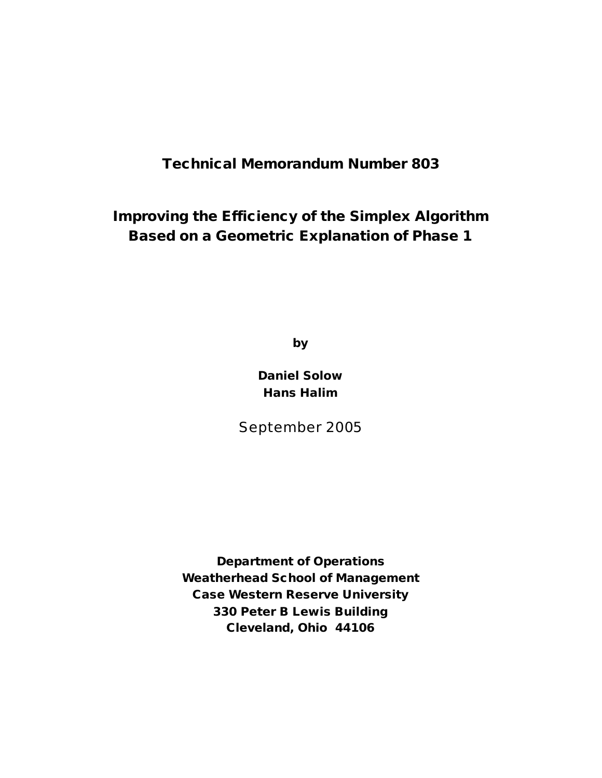**Technical Memorandum Number 803**

**Improving the Efficiency of the Simplex Algorithm Based on a Geometric Explanation of Phase 1**

**by**

**Daniel Solow Hans Halim**

September 2005

**Department of Operations Weatherhead School of Management Case Western Reserve University 330 Peter B Lewis Building Cleveland, Ohio 44106**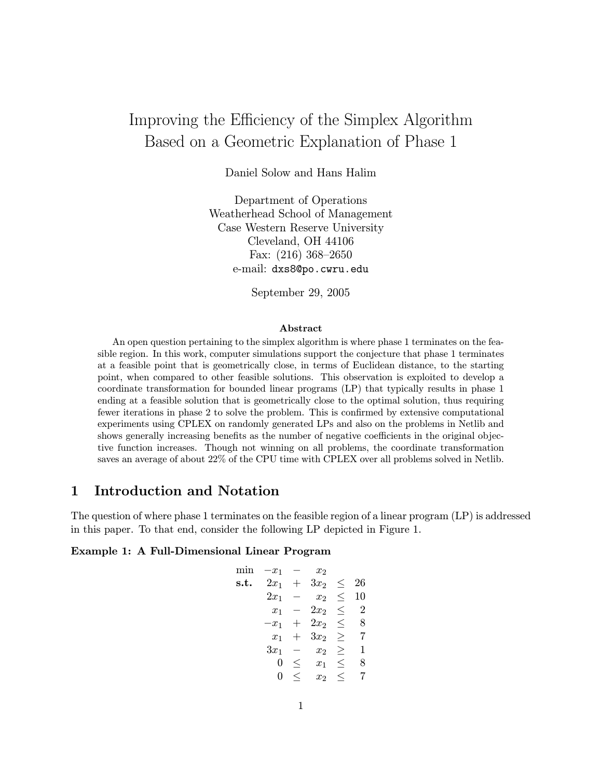# Improving the Efficiency of the Simplex Algorithm Based on a Geometric Explanation of Phase 1

Daniel Solow and Hans Halim

Department of Operations Weatherhead School of Management Case Western Reserve University Cleveland, OH 44106 Fax: (216) 368—2650 e-mail: dxs8@po.cwru.edu

September 29, 2005

#### Abstract

An open question pertaining to the simplex algorithm is where phase 1 terminates on the feasible region. In this work, computer simulations support the conjecture that phase 1 terminates at a feasible point that is geometrically close, in terms of Euclidean distance, to the starting point, when compared to other feasible solutions. This observation is exploited to develop a coordinate transformation for bounded linear programs (LP) that typically results in phase 1 ending at a feasible solution that is geometrically close to the optimal solution, thus requiring fewer iterations in phase 2 to solve the problem. This is confirmed by extensive computational experiments using CPLEX on randomly generated LPs and also on the problems in Netlib and shows generally increasing benefits as the number of negative coefficients in the original objective function increases. Though not winning on all problems, the coordinate transformation saves an average of about 22% of the CPU time with CPLEX over all problems solved in Netlib.

### 1 Introduction and Notation

The question of where phase 1 terminates on the feasible region of a linear program (LP) is addressed in this paper. To that end, consider the following LP depicted in Figure 1.

#### Example 1: A Full-Dimensional Linear Program

| mın  | $x_1$  |         | $x_2$          |         |                |
|------|--------|---------|----------------|---------|----------------|
| s.t. | $2x_1$ | $^{+}$  | $3x_2$         | $\,<\,$ | 26             |
|      | $2x_1$ |         | $x_2$          | $\,<\,$ | 10             |
|      | $x_1$  |         | $2x_2$         | <       | $\overline{2}$ |
|      | $-x_1$ |         | $2x_2$         | $\leq$  | 8              |
|      | $x_1$  |         | $3x_2$         | >       | 7              |
|      | $3x_1$ |         | x <sub>2</sub> | >       | 1              |
|      | 0      | ≦       | $x_1$          | <       | 8              |
|      | 0      | $\,<\,$ | x <sub>2</sub> | $\,<$   |                |
|      |        |         |                |         |                |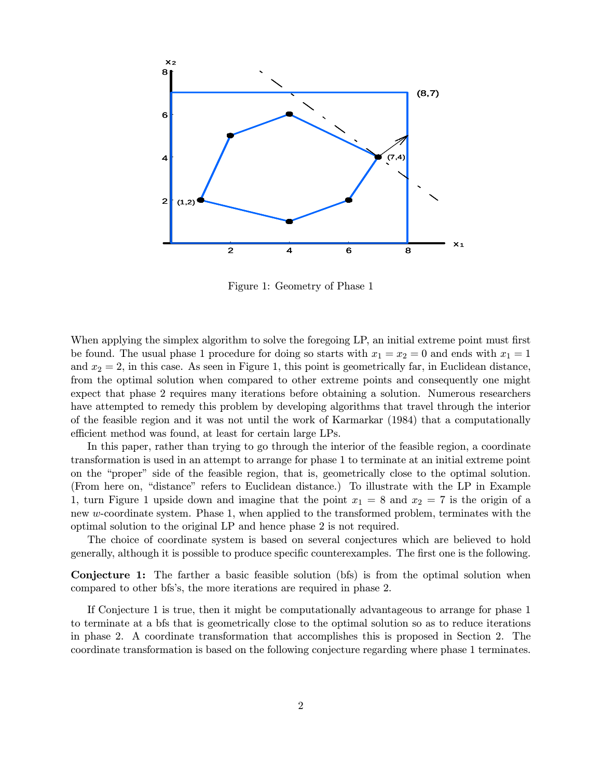

Figure 1: Geometry of Phase 1

When applying the simplex algorithm to solve the foregoing LP, an initial extreme point must first be found. The usual phase 1 procedure for doing so starts with  $x_1 = x_2 = 0$  and ends with  $x_1 = 1$ and  $x_2 = 2$ , in this case. As seen in Figure 1, this point is geometrically far, in Euclidean distance, from the optimal solution when compared to other extreme points and consequently one might expect that phase 2 requires many iterations before obtaining a solution. Numerous researchers have attempted to remedy this problem by developing algorithms that travel through the interior of the feasible region and it was not until the work of Karmarkar (1984) that a computationally efficient method was found, at least for certain large LPs.

In this paper, rather than trying to go through the interior of the feasible region, a coordinate transformation is used in an attempt to arrange for phase 1 to terminate at an initial extreme point on the "proper" side of the feasible region, that is, geometrically close to the optimal solution. (From here on, "distance" refers to Euclidean distance.) To illustrate with the LP in Example 1, turn Figure 1 upside down and imagine that the point  $x_1 = 8$  and  $x_2 = 7$  is the origin of a new w-coordinate system. Phase 1, when applied to the transformed problem, terminates with the optimal solution to the original LP and hence phase 2 is not required.

The choice of coordinate system is based on several conjectures which are believed to hold generally, although it is possible to produce specific counterexamples. The first one is the following.

Conjecture 1: The farther a basic feasible solution (bfs) is from the optimal solution when compared to other bfs's, the more iterations are required in phase 2.

If Conjecture 1 is true, then it might be computationally advantageous to arrange for phase 1 to terminate at a bfs that is geometrically close to the optimal solution so as to reduce iterations in phase 2. A coordinate transformation that accomplishes this is proposed in Section 2. The coordinate transformation is based on the following conjecture regarding where phase 1 terminates.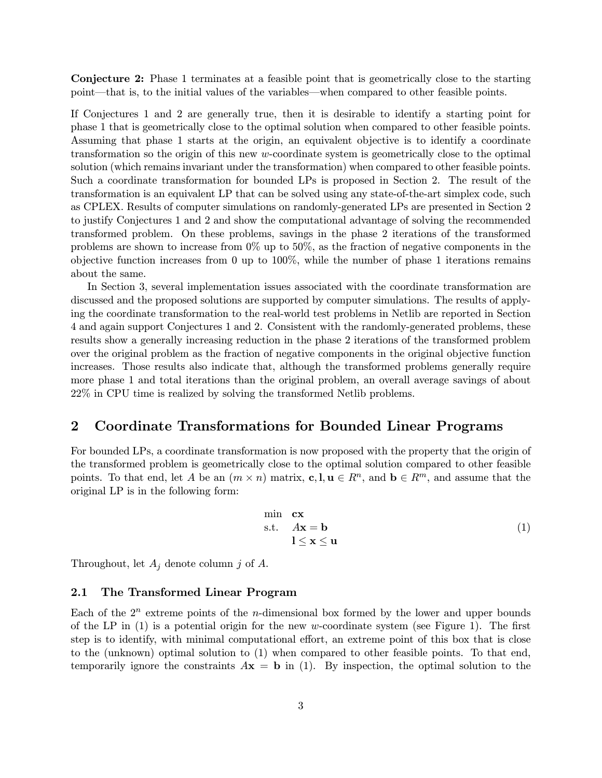Conjecture 2: Phase 1 terminates at a feasible point that is geometrically close to the starting point–that is, to the initial values of the variables–when compared to other feasible points.

If Conjectures 1 and 2 are generally true, then it is desirable to identify a starting point for phase 1 that is geometrically close to the optimal solution when compared to other feasible points. Assuming that phase 1 starts at the origin, an equivalent objective is to identify a coordinate transformation so the origin of this new w-coordinate system is geometrically close to the optimal solution (which remains invariant under the transformation) when compared to other feasible points. Such a coordinate transformation for bounded LPs is proposed in Section 2. The result of the transformation is an equivalent LP that can be solved using any state-of-the-art simplex code, such as CPLEX. Results of computer simulations on randomly-generated LPs are presented in Section 2 to justify Conjectures 1 and 2 and show the computational advantage of solving the recommended transformed problem. On these problems, savings in the phase 2 iterations of the transformed problems are shown to increase from 0% up to 50%, as the fraction of negative components in the objective function increases from 0 up to 100%, while the number of phase 1 iterations remains about the same.

In Section 3, several implementation issues associated with the coordinate transformation are discussed and the proposed solutions are supported by computer simulations. The results of applying the coordinate transformation to the real-world test problems in Netlib are reported in Section 4 and again support Conjectures 1 and 2. Consistent with the randomly-generated problems, these results show a generally increasing reduction in the phase 2 iterations of the transformed problem over the original problem as the fraction of negative components in the original objective function increases. Those results also indicate that, although the transformed problems generally require more phase 1 and total iterations than the original problem, an overall average savings of about 22% in CPU time is realized by solving the transformed Netlib problems.

### 2 Coordinate Transformations for Bounded Linear Programs

For bounded LPs, a coordinate transformation is now proposed with the property that the origin of the transformed problem is geometrically close to the optimal solution compared to other feasible points. To that end, let A be an  $(m \times n)$  matrix, c, l,  $\mathbf{u} \in \mathbb{R}^n$ , and  $\mathbf{b} \in \mathbb{R}^m$ , and assume that the original LP is in the following form:

$$
\begin{array}{ll}\n\min & \mathbf{cx} \\
\text{s.t.} & A\mathbf{x} = \mathbf{b} \\
1 \leq \mathbf{x} \leq \mathbf{u}\n\end{array} \tag{1}
$$

Throughout, let  $A_j$  denote column j of A.

#### 2.1 The Transformed Linear Program

Each of the  $2^n$  extreme points of the *n*-dimensional box formed by the lower and upper bounds of the LP in  $(1)$  is a potential origin for the new w-coordinate system (see Figure 1). The first step is to identify, with minimal computational effort, an extreme point of this box that is close to the (unknown) optimal solution to (1) when compared to other feasible points. To that end, temporarily ignore the constraints  $A\mathbf{x} = \mathbf{b}$  in (1). By inspection, the optimal solution to the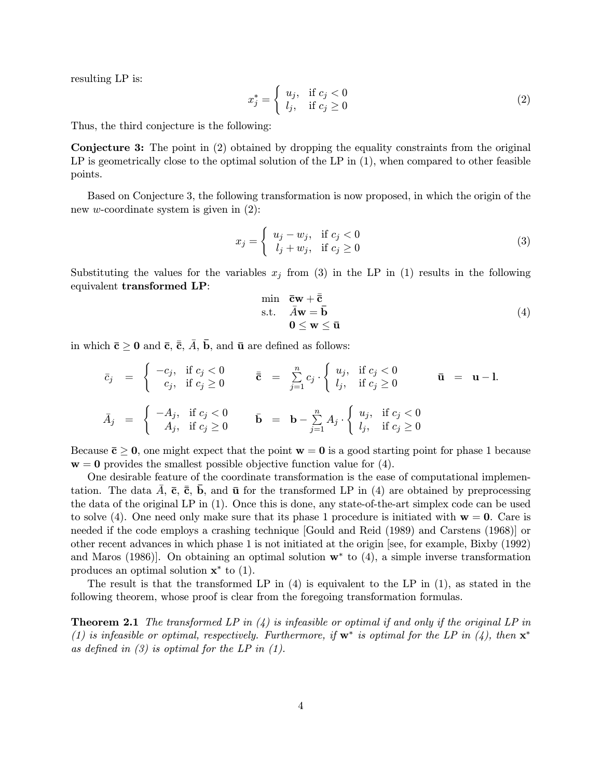resulting LP is:

$$
x_j^* = \begin{cases} u_j, & \text{if } c_j < 0 \\ l_j, & \text{if } c_j \ge 0 \end{cases} \tag{2}
$$

Thus, the third conjecture is the following:

Conjecture 3: The point in (2) obtained by dropping the equality constraints from the original LP is geometrically close to the optimal solution of the LP in  $(1)$ , when compared to other feasible points.

Based on Conjecture 3, the following transformation is now proposed, in which the origin of the new *w*-coordinate system is given in  $(2)$ :

$$
x_j = \begin{cases} u_j - w_j, & \text{if } c_j < 0 \\ l_j + w_j, & \text{if } c_j \ge 0 \end{cases}
$$
 (3)

Substituting the values for the variables  $x_j$  from (3) in the LP in (1) results in the following equivalent transformed LP:

$$
\begin{array}{ll}\n\min & \bar{\mathbf{c}} \mathbf{w} + \bar{\bar{\mathbf{c}}} \\
\text{s.t.} & \bar{A} \mathbf{w} = \bar{\mathbf{b}} \\
0 \le \mathbf{w} \le \bar{\mathbf{u}}\n\end{array} \tag{4}
$$

in which  $\bar{c} \ge 0$  and  $\bar{c}$ ,  $\bar{\bar{c}}$ ,  $\bar{A}$ ,  $\bar{b}$ , and  $\bar{u}$  are defined as follows:

$$
\bar{c}_{j} = \begin{cases}\n-c_{j}, & \text{if } c_{j} < 0 \\
c_{j}, & \text{if } c_{j} \geq 0\n\end{cases}\n\qquad\n\bar{\bar{c}} = \sum_{j=1}^{n} c_{j} \cdot \begin{cases}\nu_{j}, & \text{if } c_{j} < 0 \\
l_{j}, & \text{if } c_{j} \geq 0\n\end{cases}\n\qquad\n\bar{\mathbf{u}} = \mathbf{u} - \mathbf{l}.
$$
\n
$$
\bar{A}_{j} = \begin{cases}\n-A_{j}, & \text{if } c_{j} < 0 \\
A_{j}, & \text{if } c_{j} \geq 0\n\end{cases}\n\qquad\n\bar{\mathbf{b}} = \mathbf{b} - \sum_{j=1}^{n} A_{j} \cdot \begin{cases}\nu_{j}, & \text{if } c_{j} < 0 \\
l_{j}, & \text{if } c_{j} \geq 0\n\end{cases}
$$

Because  $\bar{c} > 0$ , one might expect that the point  $w = 0$  is a good starting point for phase 1 because  $w = 0$  provides the smallest possible objective function value for (4).

One desirable feature of the coordinate transformation is the ease of computational implementation. The data A,  $\bar{c}$ ,  $\bar{c}$ , b, and  $\bar{u}$  for the transformed LP in (4) are obtained by preprocessing the data of the original LP in (1). Once this is done, any state-of-the-art simplex code can be used to solve (4). One need only make sure that its phase 1 procedure is initiated with  $w = 0$ . Care is needed if the code employs a crashing technique [Gould and Reid (1989) and Carstens (1968)] or other recent advances in which phase 1 is not initiated at the origin [see, for example, Bixby (1992) and Maros (1986). On obtaining an optimal solution  $w^*$  to (4), a simple inverse transformation produces an optimal solution  $\mathbf{x}^*$  to (1).

The result is that the transformed LP in (4) is equivalent to the LP in (1), as stated in the following theorem, whose proof is clear from the foregoing transformation formulas.

**Theorem 2.1** The transformed LP in  $(4)$  is infeasible or optimal if and only if the original LP in (1) is infeasible or optimal, respectively. Furthermore, if  $w^*$  is optimal for the LP in (4), then  $x^*$ as defined in  $(3)$  is optimal for the LP in  $(1)$ .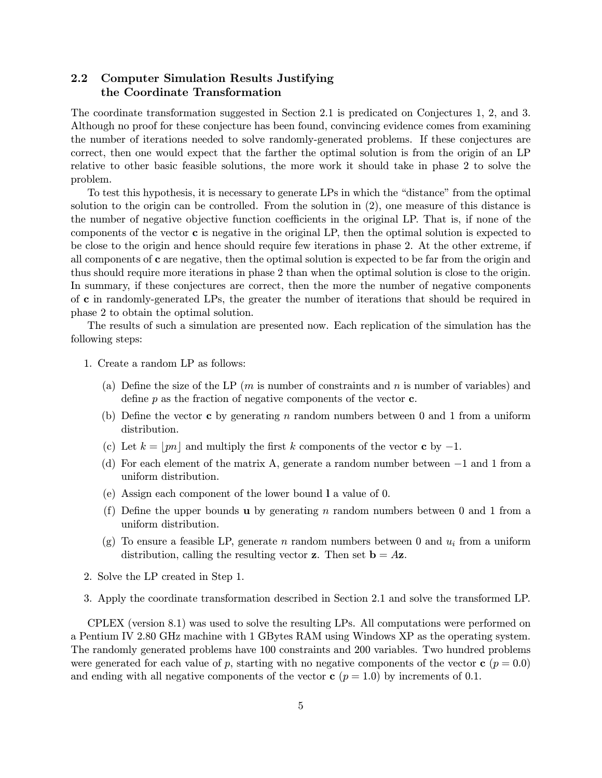### 2.2 Computer Simulation Results Justifying the Coordinate Transformation

The coordinate transformation suggested in Section 2.1 is predicated on Conjectures 1, 2, and 3. Although no proof for these conjecture has been found, convincing evidence comes from examining the number of iterations needed to solve randomly-generated problems. If these conjectures are correct, then one would expect that the farther the optimal solution is from the origin of an LP relative to other basic feasible solutions, the more work it should take in phase 2 to solve the problem.

To test this hypothesis, it is necessary to generate LPs in which the "distance" from the optimal solution to the origin can be controlled. From the solution in (2), one measure of this distance is the number of negative objective function coefficients in the original LP. That is, if none of the components of the vector  $\bf c$  is negative in the original LP, then the optimal solution is expected to be close to the origin and hence should require few iterations in phase 2. At the other extreme, if all components of c are negative, then the optimal solution is expected to be far from the origin and thus should require more iterations in phase 2 than when the optimal solution is close to the origin. In summary, if these conjectures are correct, then the more the number of negative components of c in randomly-generated LPs, the greater the number of iterations that should be required in phase 2 to obtain the optimal solution.

The results of such a simulation are presented now. Each replication of the simulation has the following steps:

- 1. Create a random LP as follows:
	- (a) Define the size of the LP  $(m \text{ is number of constraints and } n \text{ is number of variables})$  and define  $p$  as the fraction of negative components of the vector  $c$ .
	- (b) Define the vector c by generating n random numbers between 0 and 1 from a uniform distribution.
	- (c) Let  $k = |pn|$  and multiply the first k components of the vector c by  $-1$ .
	- (d) For each element of the matrix A, generate a random number between −1 and 1 from a uniform distribution.
	- (e) Assign each component of the lower bound l a value of 0.
	- (f) Define the upper bounds **u** by generating n random numbers between 0 and 1 from a uniform distribution.
	- (g) To ensure a feasible LP, generate n random numbers between 0 and  $u_i$  from a uniform distribution, calling the resulting vector **z**. Then set  $\mathbf{b} = A\mathbf{z}$ .
- 2. Solve the LP created in Step 1.
- 3. Apply the coordinate transformation described in Section 2.1 and solve the transformed LP.

CPLEX (version 8.1) was used to solve the resulting LPs. All computations were performed on a Pentium IV 2.80 GHz machine with 1 GBytes RAM using Windows XP as the operating system. The randomly generated problems have 100 constraints and 200 variables. Two hundred problems were generated for each value of p, starting with no negative components of the vector  $c$  ( $p = 0.0$ ) and ending with all negative components of the vector  $c$  ( $p = 1.0$ ) by increments of 0.1.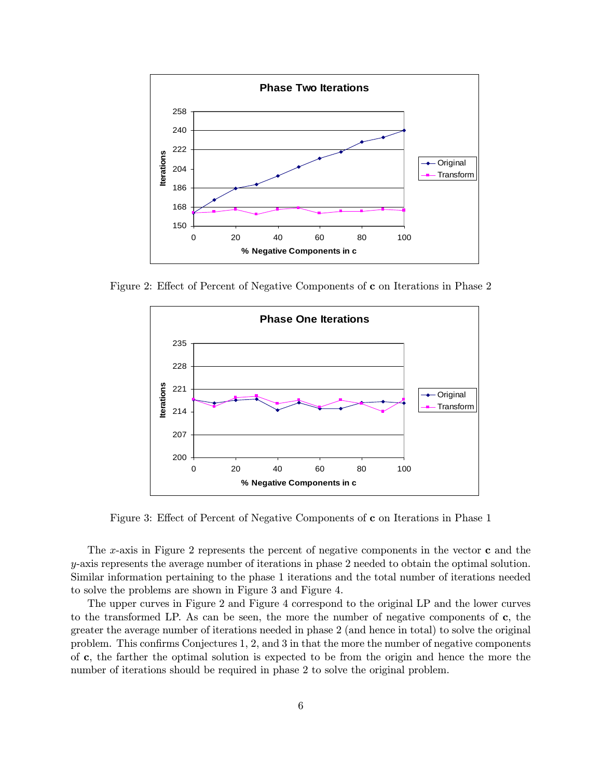

Figure 2: Effect of Percent of Negative Components of c on Iterations in Phase 2



Figure 3: Effect of Percent of Negative Components of c on Iterations in Phase 1

The x-axis in Figure 2 represents the percent of negative components in the vector  $\bf{c}$  and the y-axis represents the average number of iterations in phase 2 needed to obtain the optimal solution. Similar information pertaining to the phase 1 iterations and the total number of iterations needed to solve the problems are shown in Figure 3 and Figure 4.

The upper curves in Figure 2 and Figure 4 correspond to the original LP and the lower curves to the transformed LP. As can be seen, the more the number of negative components of  $c$ , the greater the average number of iterations needed in phase 2 (and hence in total) to solve the original problem. This confirms Conjectures 1, 2, and 3 in that the more the number of negative components of c, the farther the optimal solution is expected to be from the origin and hence the more the number of iterations should be required in phase 2 to solve the original problem.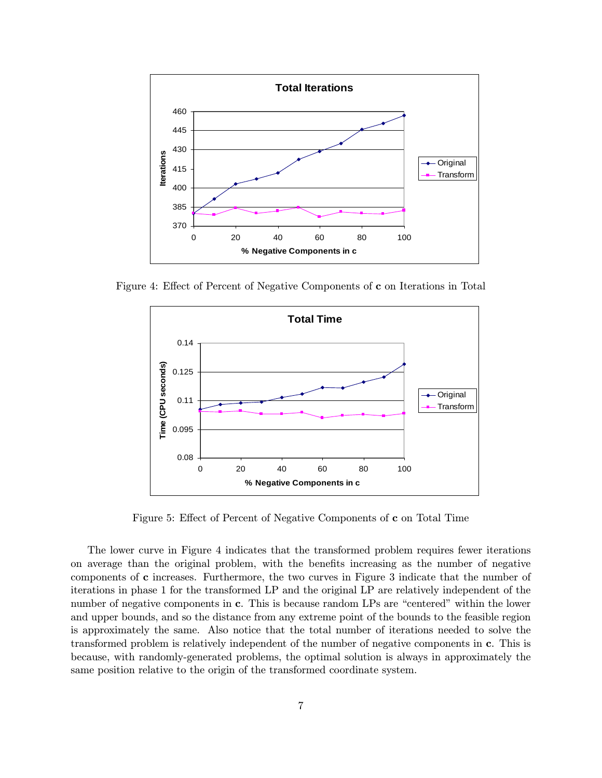

Figure 4: Effect of Percent of Negative Components of c on Iterations in Total



Figure 5: Effect of Percent of Negative Components of c on Total Time

The lower curve in Figure 4 indicates that the transformed problem requires fewer iterations on average than the original problem, with the benefits increasing as the number of negative components of c increases. Furthermore, the two curves in Figure 3 indicate that the number of iterations in phase 1 for the transformed LP and the original LP are relatively independent of the number of negative components in c. This is because random LPs are "centered" within the lower and upper bounds, and so the distance from any extreme point of the bounds to the feasible region is approximately the same. Also notice that the total number of iterations needed to solve the transformed problem is relatively independent of the number of negative components in c. This is because, with randomly-generated problems, the optimal solution is always in approximately the same position relative to the origin of the transformed coordinate system.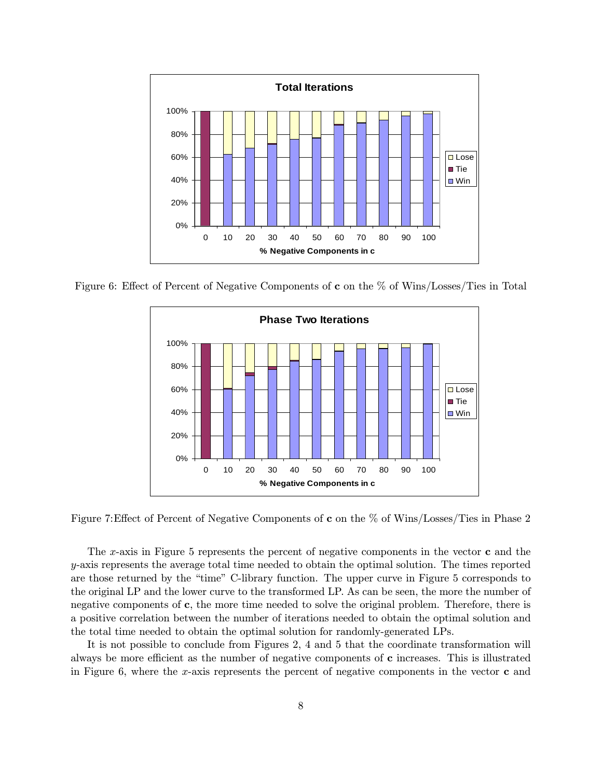

Figure 6: Effect of Percent of Negative Components of c on the % of Wins/Losses/Ties in Total



Figure 7:Effect of Percent of Negative Components of c on the % of Wins/Losses/Ties in Phase 2

The x-axis in Figure 5 represents the percent of negative components in the vector  $\bf{c}$  and the  $y$ -axis represents the average total time needed to obtain the optimal solution. The times reported are those returned by the "time" C-library function. The upper curve in Figure 5 corresponds to the original LP and the lower curve to the transformed LP. As can be seen, the more the number of negative components of c, the more time needed to solve the original problem. Therefore, there is a positive correlation between the number of iterations needed to obtain the optimal solution and the total time needed to obtain the optimal solution for randomly-generated LPs.

It is not possible to conclude from Figures 2, 4 and 5 that the coordinate transformation will always be more efficient as the number of negative components of c increases. This is illustrated in Figure 6, where the x-axis represents the percent of negative components in the vector  $\bf{c}$  and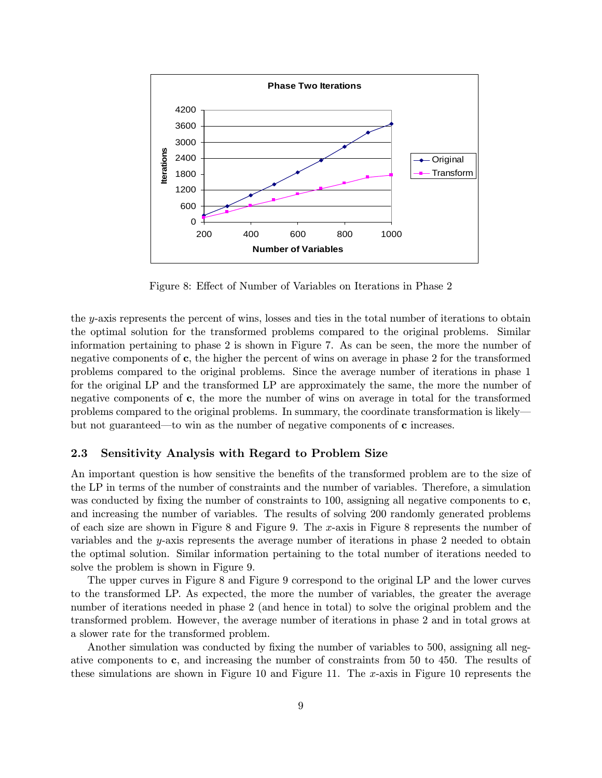

Figure 8: Effect of Number of Variables on Iterations in Phase 2

the y-axis represents the percent of wins, losses and ties in the total number of iterations to obtain the optimal solution for the transformed problems compared to the original problems. Similar information pertaining to phase 2 is shown in Figure 7. As can be seen, the more the number of negative components of c, the higher the percent of wins on average in phase 2 for the transformed problems compared to the original problems. Since the average number of iterations in phase 1 for the original LP and the transformed LP are approximately the same, the more the number of negative components of c, the more the number of wins on average in total for the transformed problems compared to the original problems. In summary, the coordinate transformation is likely– but not guaranteed–to win as the number of negative components of c increases.

#### 2.3 Sensitivity Analysis with Regard to Problem Size

An important question is how sensitive the benefits of the transformed problem are to the size of the LP in terms of the number of constraints and the number of variables. Therefore, a simulation was conducted by fixing the number of constraints to 100, assigning all negative components to c, and increasing the number of variables. The results of solving 200 randomly generated problems of each size are shown in Figure 8 and Figure 9. The x-axis in Figure 8 represents the number of variables and the y-axis represents the average number of iterations in phase 2 needed to obtain the optimal solution. Similar information pertaining to the total number of iterations needed to solve the problem is shown in Figure 9.

The upper curves in Figure 8 and Figure 9 correspond to the original LP and the lower curves to the transformed LP. As expected, the more the number of variables, the greater the average number of iterations needed in phase 2 (and hence in total) to solve the original problem and the transformed problem. However, the average number of iterations in phase 2 and in total grows at a slower rate for the transformed problem.

Another simulation was conducted by fixing the number of variables to 500, assigning all negative components to c, and increasing the number of constraints from 50 to 450. The results of these simulations are shown in Figure 10 and Figure 11. The x-axis in Figure 10 represents the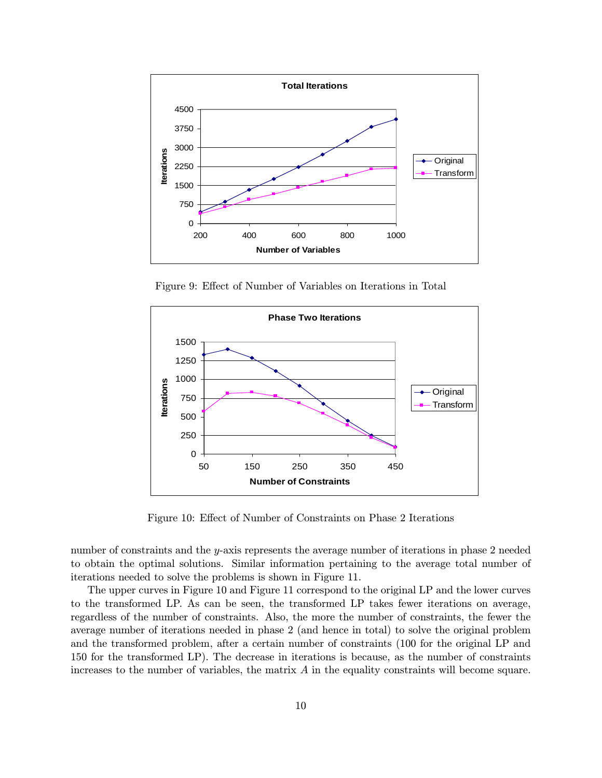

Figure 9: Effect of Number of Variables on Iterations in Total



Figure 10: Effect of Number of Constraints on Phase 2 Iterations

number of constraints and the y-axis represents the average number of iterations in phase 2 needed to obtain the optimal solutions. Similar information pertaining to the average total number of iterations needed to solve the problems is shown in Figure 11.

The upper curves in Figure 10 and Figure 11 correspond to the original LP and the lower curves to the transformed LP. As can be seen, the transformed LP takes fewer iterations on average, regardless of the number of constraints. Also, the more the number of constraints, the fewer the average number of iterations needed in phase 2 (and hence in total) to solve the original problem and the transformed problem, after a certain number of constraints (100 for the original LP and 150 for the transformed LP). The decrease in iterations is because, as the number of constraints increases to the number of variables, the matrix  $A$  in the equality constraints will become square.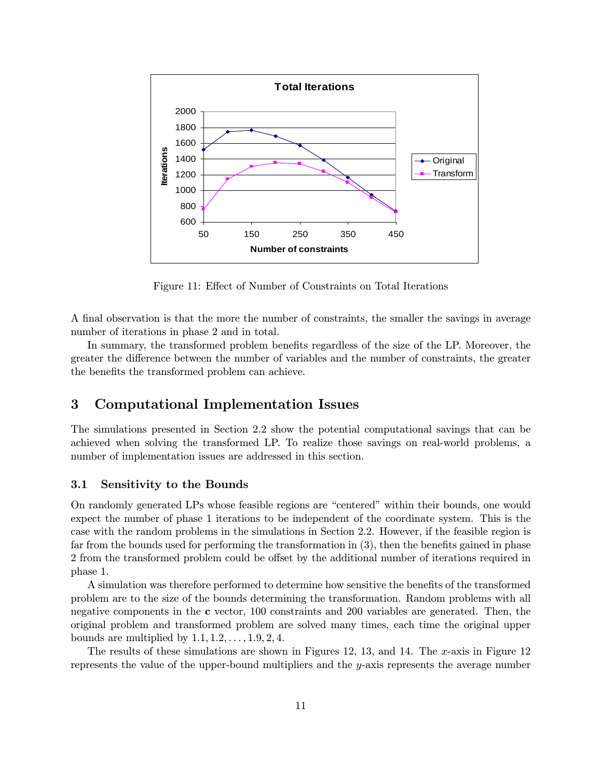

Figure 11: Effect of Number of Constraints on Total Iterations

A final observation is that the more the number of constraints, the smaller the savings in average number of iterations in phase 2 and in total.

In summary, the transformed problem benefits regardless of the size of the LP. Moreover, the greater the difference between the number of variables and the number of constraints, the greater the benefits the transformed problem can achieve.

### 3 Computational Implementation Issues

The simulations presented in Section 2.2 show the potential computational savings that can be achieved when solving the transformed LP. To realize those savings on real-world problems, a number of implementation issues are addressed in this section.

#### 3.1 Sensitivity to the Bounds

On randomly generated LPs whose feasible regions are "centered" within their bounds, one would expect the number of phase 1 iterations to be independent of the coordinate system. This is the case with the random problems in the simulations in Section 2.2. However, if the feasible region is far from the bounds used for performing the transformation in (3), then the benefits gained in phase 2 from the transformed problem could be offset by the additional number of iterations required in phase 1.

A simulation was therefore performed to determine how sensitive the benefits of the transformed problem are to the size of the bounds determining the transformation. Random problems with all negative components in the c vector, 100 constraints and 200 variables are generated. Then, the original problem and transformed problem are solved many times, each time the original upper bounds are multiplied by  $1.1, 1.2, \ldots, 1.9, 2, 4$ .

The results of these simulations are shown in Figures 12, 13, and 14. The x-axis in Figure 12 represents the value of the upper-bound multipliers and the y-axis represents the average number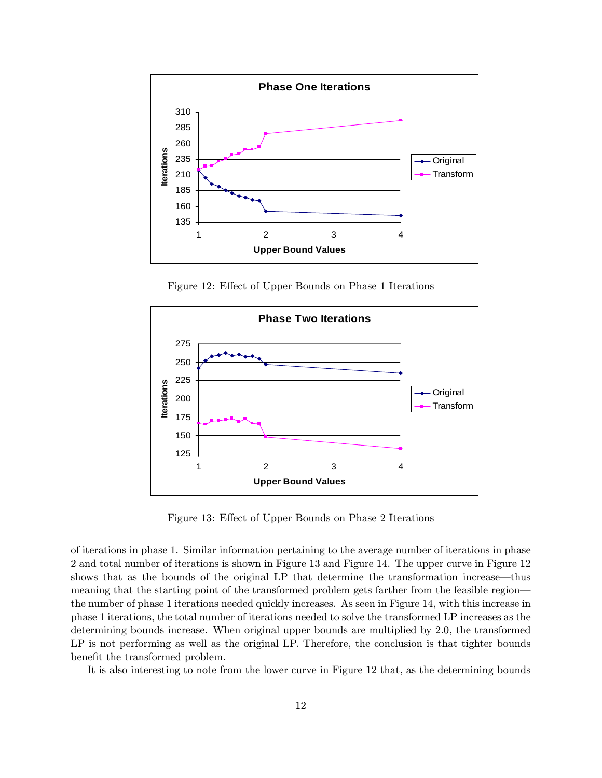

Figure 12: Effect of Upper Bounds on Phase 1 Iterations



Figure 13: Effect of Upper Bounds on Phase 2 Iterations

of iterations in phase 1. Similar information pertaining to the average number of iterations in phase 2 and total number of iterations is shown in Figure 13 and Figure 14. The upper curve in Figure 12 shows that as the bounds of the original LP that determine the transformation increase–thus meaning that the starting point of the transformed problem gets farther from the feasible region– the number of phase 1 iterations needed quickly increases. As seen in Figure 14, with this increase in phase 1 iterations, the total number of iterations needed to solve the transformed LP increases as the determining bounds increase. When original upper bounds are multiplied by 2.0, the transformed LP is not performing as well as the original LP. Therefore, the conclusion is that tighter bounds benefit the transformed problem.

It is also interesting to note from the lower curve in Figure 12 that, as the determining bounds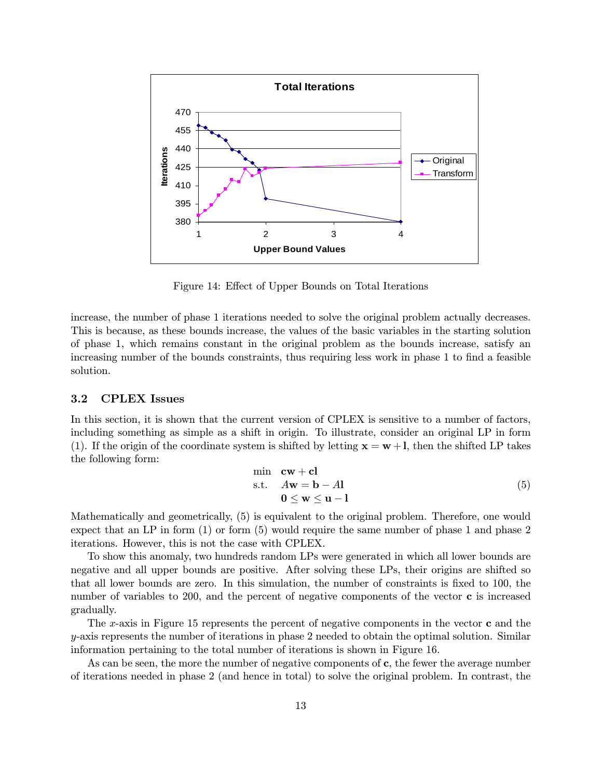

Figure 14: Effect of Upper Bounds on Total Iterations

increase, the number of phase 1 iterations needed to solve the original problem actually decreases. This is because, as these bounds increase, the values of the basic variables in the starting solution of phase 1, which remains constant in the original problem as the bounds increase, satisfy an increasing number of the bounds constraints, thus requiring less work in phase 1 to find a feasible solution.

### 3.2 CPLEX Issues

In this section, it is shown that the current version of CPLEX is sensitive to a number of factors, including something as simple as a shift in origin. To illustrate, consider an original LP in form (1). If the origin of the coordinate system is shifted by letting  $x = w + 1$ , then the shifted LP takes the following form:

$$
\begin{array}{ll}\n\min & \mathbf{cw} + \mathbf{cl} \\
\text{s.t.} & A\mathbf{w} = \mathbf{b} - A\mathbf{l} \\
& 0 \le \mathbf{w} \le \mathbf{u} - \mathbf{l}\n\end{array} \tag{5}
$$

Mathematically and geometrically, (5) is equivalent to the original problem. Therefore, one would expect that an LP in form (1) or form (5) would require the same number of phase 1 and phase 2 iterations. However, this is not the case with CPLEX.

To show this anomaly, two hundreds random LPs were generated in which all lower bounds are negative and all upper bounds are positive. After solving these LPs, their origins are shifted so that all lower bounds are zero. In this simulation, the number of constraints is fixed to 100, the number of variables to 200, and the percent of negative components of the vector  $\bf{c}$  is increased gradually.

The x-axis in Figure 15 represents the percent of negative components in the vector  $\bf{c}$  and the  $y$ -axis represents the number of iterations in phase 2 needed to obtain the optimal solution. Similar information pertaining to the total number of iterations is shown in Figure 16.

As can be seen, the more the number of negative components of  $c$ , the fewer the average number of iterations needed in phase 2 (and hence in total) to solve the original problem. In contrast, the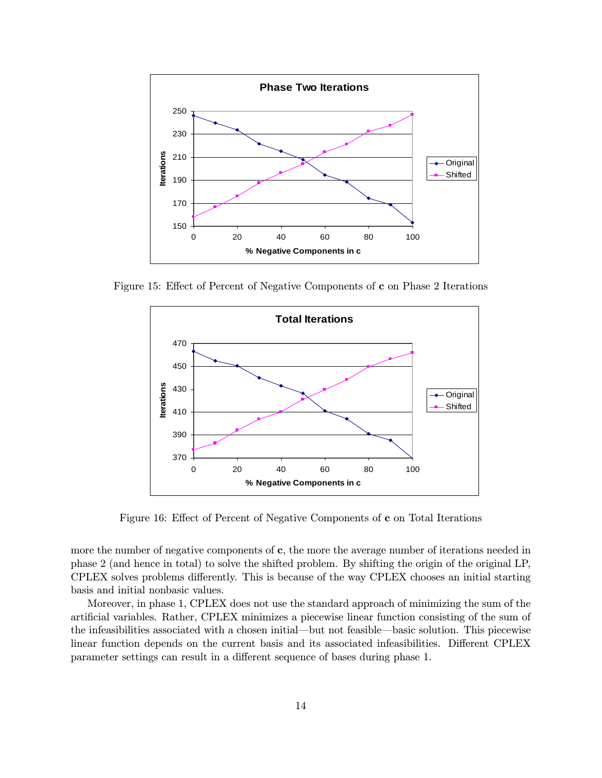

Figure 15: Effect of Percent of Negative Components of c on Phase 2 Iterations



Figure 16: Effect of Percent of Negative Components of c on Total Iterations

more the number of negative components of c, the more the average number of iterations needed in phase 2 (and hence in total) to solve the shifted problem. By shifting the origin of the original LP, CPLEX solves problems differently. This is because of the way CPLEX chooses an initial starting basis and initial nonbasic values.

Moreover, in phase 1, CPLEX does not use the standard approach of minimizing the sum of the artificial variables. Rather, CPLEX minimizes a piecewise linear function consisting of the sum of the infeasibilities associated with a chosen initial–but not feasible–basic solution. This piecewise linear function depends on the current basis and its associated infeasibilities. Different CPLEX parameter settings can result in a different sequence of bases during phase 1.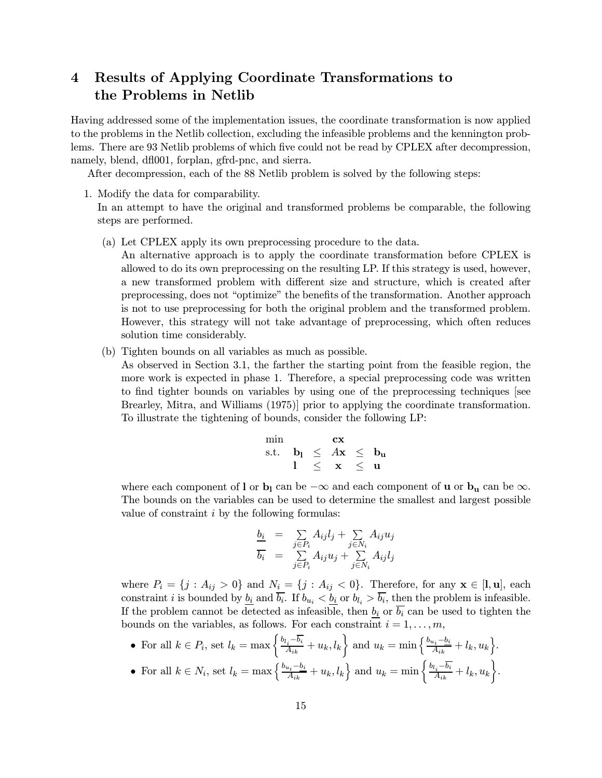## 4 Results of Applying Coordinate Transformations to the Problems in Netlib

Having addressed some of the implementation issues, the coordinate transformation is now applied to the problems in the Netlib collection, excluding the infeasible problems and the kennington problems. There are 93 Netlib problems of which five could not be read by CPLEX after decompression, namely, blend, dfl001, forplan, gfrd-pnc, and sierra.

After decompression, each of the 88 Netlib problem is solved by the following steps:

1. Modify the data for comparability.

In an attempt to have the original and transformed problems be comparable, the following steps are performed.

(a) Let CPLEX apply its own preprocessing procedure to the data.

An alternative approach is to apply the coordinate transformation before CPLEX is allowed to do its own preprocessing on the resulting LP. If this strategy is used, however, a new transformed problem with different size and structure, which is created after preprocessing, does not "optimize" the benefits of the transformation. Another approach is not to use preprocessing for both the original problem and the transformed problem. However, this strategy will not take advantage of preprocessing, which often reduces solution time considerably.

(b) Tighten bounds on all variables as much as possible.

As observed in Section 3.1, the farther the starting point from the feasible region, the more work is expected in phase 1. Therefore, a special preprocessing code was written to find tighter bounds on variables by using one of the preprocessing techniques [see Brearley, Mitra, and Williams (1975)] prior to applying the coordinate transformation. To illustrate the tightening of bounds, consider the following LP:

$$
\begin{array}{rcl} \min & \mathbf{cx} \\ \text{s.t.} & \mathbf{b}_l \leq A\mathbf{x} \leq \mathbf{b}_u \\ & l \leq \mathbf{x} \leq \mathbf{u} \end{array}
$$

where each component of l or b<sub>l</sub> can be  $-\infty$  and each component of **u** or b<sub>u</sub> can be  $\infty$ . The bounds on the variables can be used to determine the smallest and largest possible value of constraint  $i$  by the following formulas:

$$
\frac{b_i}{b_i} = \sum_{j \in P_i} A_{ij} l_j + \sum_{j \in N_i} A_{ij} u_j
$$
  

$$
\overline{b_i} = \sum_{j \in P_i} A_{ij} u_j + \sum_{j \in N_i} A_{ij} l_j
$$

where  $P_i = \{j : A_{ij} > 0\}$  and  $N_i = \{j : A_{ij} < 0\}$ . Therefore, for any  $\mathbf{x} \in [l, u]$ , each constraint *i* is bounded by  $\underline{b_i}$  and  $\overline{b_i}$ . If  $b_{u_i} < \underline{b_i}$  or  $b_{l_i} > \overline{b_i}$ , then the problem is infeasible. If the problem cannot be detected as infeasible, then  $b_i$  or  $\overline{b_i}$  can be used to tighten the bounds on the variables, as follows. For each constraint  $i = 1, \ldots, m$ ,

• For all  $k \in P_i$ , set  $l_k = \max \left\{ \frac{b_{l_i} - \overline{b_i}}{A_{ik}} + u_k, l_k \right\}$  and  $u_k = \min \left\{ \frac{b_{u_i} - b_i}{A_{ik}} + l_k, u_k \right\}$ .  $\mathbf{L}$ 

• For all 
$$
k \in N_i
$$
, set  $l_k = \max \left\{ \frac{b_{u_i} - b_i}{A_{ik}} + u_k, l_k \right\}$  and  $u_k = \min \left\{ \frac{b_{l_i} - \overline{b_i}}{A_{ik}} + l_k, u_k \right\}$ .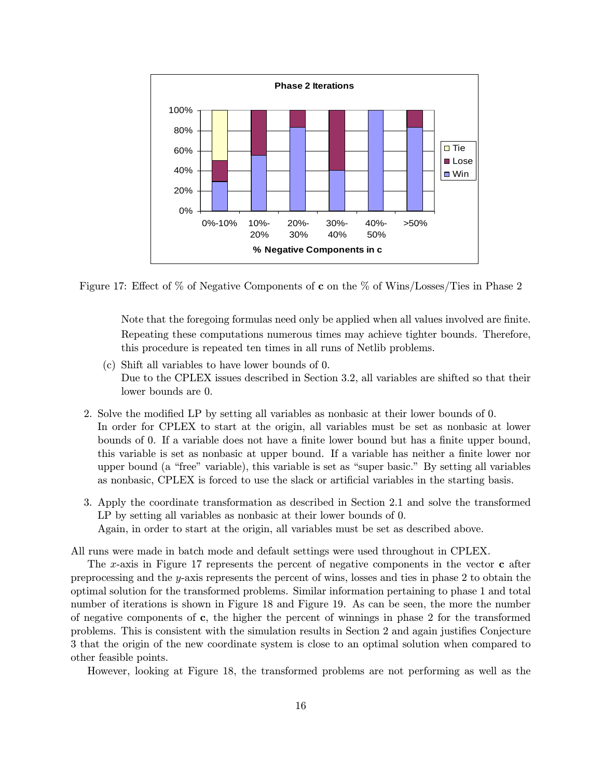

Figure 17: Effect of % of Negative Components of c on the % of Wins/Losses/Ties in Phase 2

Note that the foregoing formulas need only be applied when all values involved are finite. Repeating these computations numerous times may achieve tighter bounds. Therefore, this procedure is repeated ten times in all runs of Netlib problems.

- (c) Shift all variables to have lower bounds of 0. Due to the CPLEX issues described in Section 3.2, all variables are shifted so that their lower bounds are 0.
- 2. Solve the modified LP by setting all variables as nonbasic at their lower bounds of 0. In order for CPLEX to start at the origin, all variables must be set as nonbasic at lower bounds of 0. If a variable does not have a finite lower bound but has a finite upper bound, this variable is set as nonbasic at upper bound. If a variable has neither a finite lower nor upper bound (a "free" variable), this variable is set as "super basic." By setting all variables as nonbasic, CPLEX is forced to use the slack or artificial variables in the starting basis.
- 3. Apply the coordinate transformation as described in Section 2.1 and solve the transformed LP by setting all variables as nonbasic at their lower bounds of 0. Again, in order to start at the origin, all variables must be set as described above.

All runs were made in batch mode and default settings were used throughout in CPLEX.

The x-axis in Figure 17 represents the percent of negative components in the vector c after preprocessing and the y-axis represents the percent of wins, losses and ties in phase 2 to obtain the optimal solution for the transformed problems. Similar information pertaining to phase 1 and total number of iterations is shown in Figure 18 and Figure 19. As can be seen, the more the number of negative components of c, the higher the percent of winnings in phase 2 for the transformed problems. This is consistent with the simulation results in Section 2 and again justifies Conjecture 3 that the origin of the new coordinate system is close to an optimal solution when compared to other feasible points.

However, looking at Figure 18, the transformed problems are not performing as well as the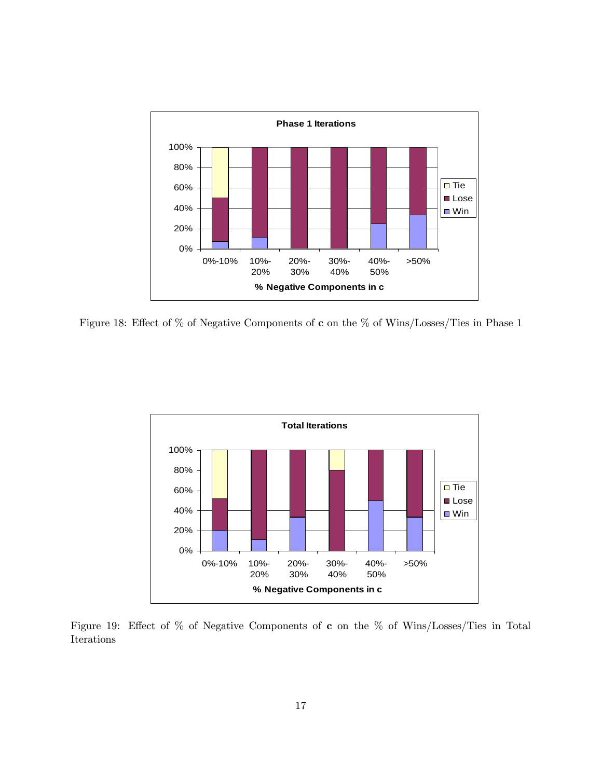

Figure 18: Effect of % of Negative Components of c on the % of Wins/Losses/Ties in Phase 1



Figure 19: Effect of % of Negative Components of c on the % of Wins/Losses/Ties in Total Iterations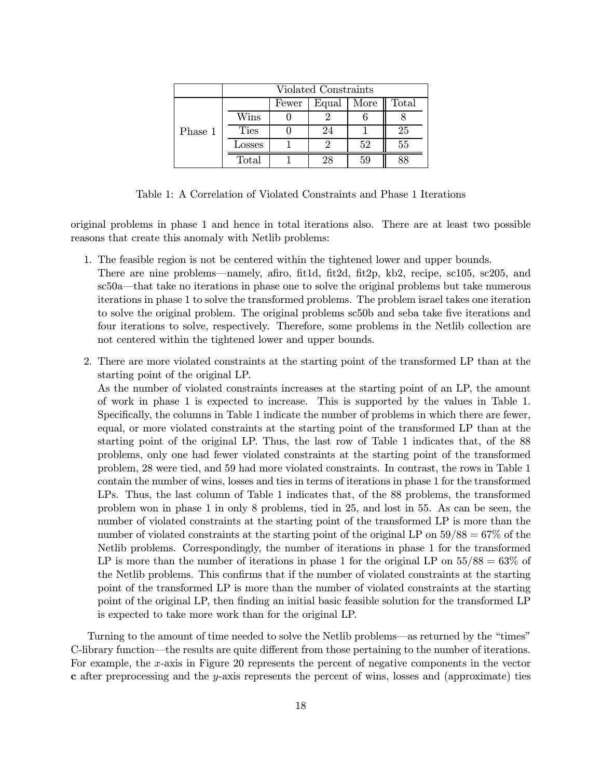|         | Violated Constraints |       |       |      |       |  |  |  |
|---------|----------------------|-------|-------|------|-------|--|--|--|
| Phase 1 |                      | Fewer | Equal | More | Total |  |  |  |
|         | Wins                 |       |       |      |       |  |  |  |
|         | <b>Ties</b>          |       | 24    |      | 25    |  |  |  |
|         | Losses               |       |       | 52   | 55    |  |  |  |
|         | Total                |       | 28    | 59   |       |  |  |  |

Table 1: A Correlation of Violated Constraints and Phase 1 Iterations

original problems in phase 1 and hence in total iterations also. There are at least two possible reasons that create this anomaly with Netlib problems:

- 1. The feasible region is not be centered within the tightened lower and upper bounds.
	- There are nine problems–namely, afiro, fit1d, fit2d, fit2p, kb2, recipe, sc105, sc205, and sc50a–that take no iterations in phase one to solve the original problems but take numerous iterations in phase 1 to solve the transformed problems. The problem israel takes one iteration to solve the original problem. The original problems sc50b and seba take five iterations and four iterations to solve, respectively. Therefore, some problems in the Netlib collection are not centered within the tightened lower and upper bounds.
- 2. There are more violated constraints at the starting point of the transformed LP than at the starting point of the original LP.

As the number of violated constraints increases at the starting point of an LP, the amount of work in phase 1 is expected to increase. This is supported by the values in Table 1. Specifically, the columns in Table 1 indicate the number of problems in which there are fewer, equal, or more violated constraints at the starting point of the transformed LP than at the starting point of the original LP. Thus, the last row of Table 1 indicates that, of the 88 problems, only one had fewer violated constraints at the starting point of the transformed problem, 28 were tied, and 59 had more violated constraints. In contrast, the rows in Table 1 contain the number of wins, losses and ties in terms of iterations in phase 1 for the transformed LPs. Thus, the last column of Table 1 indicates that, of the 88 problems, the transformed problem won in phase 1 in only 8 problems, tied in 25, and lost in 55. As can be seen, the number of violated constraints at the starting point of the transformed LP is more than the number of violated constraints at the starting point of the original LP on  $59/88 = 67\%$  of the Netlib problems. Correspondingly, the number of iterations in phase 1 for the transformed LP is more than the number of iterations in phase 1 for the original LP on  $55/88 = 63\%$  of the Netlib problems. This confirms that if the number of violated constraints at the starting point of the transformed LP is more than the number of violated constraints at the starting point of the original LP, then finding an initial basic feasible solution for the transformed LP is expected to take more work than for the original LP.

Turning to the amount of time needed to solve the Netlib problems–as returned by the "times" C-library function–the results are quite different from those pertaining to the number of iterations. For example, the x-axis in Figure 20 represents the percent of negative components in the vector c after preprocessing and the y-axis represents the percent of wins, losses and (approximate) ties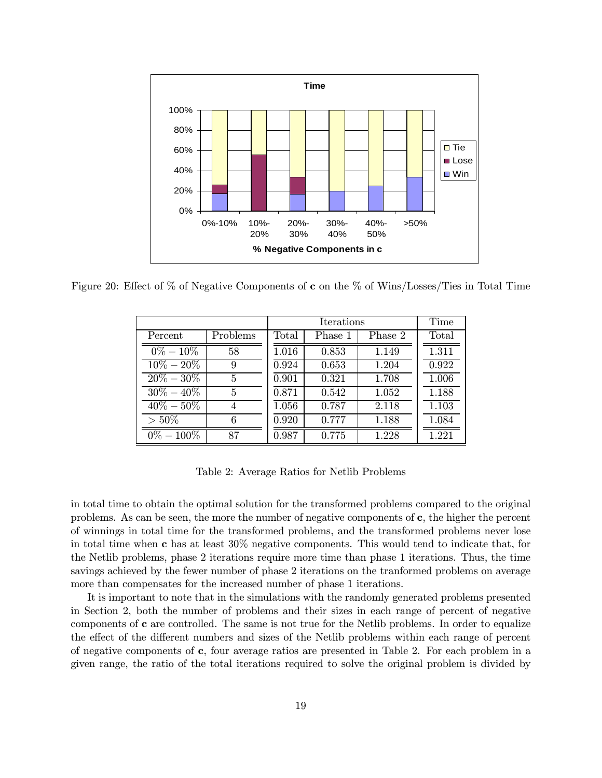

Figure 20: Effect of % of Negative Components of c on the % of Wins/Losses/Ties in Total Time

|               |          | Time  |         |         |       |
|---------------|----------|-------|---------|---------|-------|
| Percent       | Problems | Total | Phase 1 | Phase 2 | Total |
| $0\% - 10\%$  | 58       | 1.016 | 0.853   | 1.149   | 1.311 |
| $10\% - 20\%$ | 9        | 0.924 | 0.653   | 1.204   | 0.922 |
| $20\% - 30\%$ | 5        | 0.901 | 0.321   | 1.708   | 1.006 |
| $30\% - 40\%$ | 5        | 0.871 | 0.542   | 1.052   | 1.188 |
| $40\% - 50\%$ | 4        | 1.056 | 0.787   | 2.118   | 1.103 |
| $>50\%$       | 6        | 0.920 | 0.777   | 1.188   | 1.084 |
| $0\% - 100\%$ | 87       | 0.987 | 0.775   | 1.228   | 1.221 |

Table 2: Average Ratios for Netlib Problems

in total time to obtain the optimal solution for the transformed problems compared to the original problems. As can be seen, the more the number of negative components of c, the higher the percent of winnings in total time for the transformed problems, and the transformed problems never lose in total time when c has at least 30% negative components. This would tend to indicate that, for the Netlib problems, phase 2 iterations require more time than phase 1 iterations. Thus, the time savings achieved by the fewer number of phase 2 iterations on the tranformed problems on average more than compensates for the increased number of phase 1 iterations.

It is important to note that in the simulations with the randomly generated problems presented in Section 2, both the number of problems and their sizes in each range of percent of negative components of c are controlled. The same is not true for the Netlib problems. In order to equalize the effect of the different numbers and sizes of the Netlib problems within each range of percent of negative components of c, four average ratios are presented in Table 2. For each problem in a given range, the ratio of the total iterations required to solve the original problem is divided by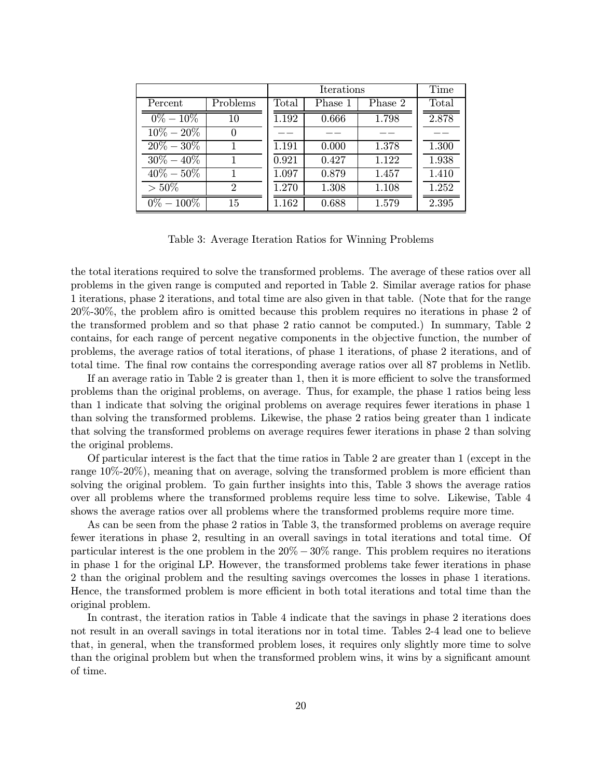|               |                |       | Time    |         |       |
|---------------|----------------|-------|---------|---------|-------|
| Percent       | Problems       | Total | Phase 1 | Phase 2 | Total |
| $0\% - 10\%$  | 10             | 1.192 | 0.666   | 1.798   | 2.878 |
| $10\% - 20\%$ | $\theta$       |       |         |         |       |
| $20\% - 30\%$ |                | 1.191 | 0.000   | 1.378   | 1.300 |
| $30\% - 40\%$ |                | 0.921 | 0.427   | 1.122   | 1.938 |
| $40\% - 50\%$ |                | 1.097 | 0.879   | 1.457   | 1.410 |
| $>50\%$       | $\overline{2}$ | 1.270 | 1.308   | 1.108   | 1.252 |
| $0\% - 100\%$ | 15             | 1.162 | 0.688   | 1.579   | 2.395 |

Table 3: Average Iteration Ratios for Winning Problems

the total iterations required to solve the transformed problems. The average of these ratios over all problems in the given range is computed and reported in Table 2. Similar average ratios for phase 1 iterations, phase 2 iterations, and total time are also given in that table. (Note that for the range 20%-30%, the problem afiro is omitted because this problem requires no iterations in phase 2 of the transformed problem and so that phase 2 ratio cannot be computed.) In summary, Table 2 contains, for each range of percent negative components in the objective function, the number of problems, the average ratios of total iterations, of phase 1 iterations, of phase 2 iterations, and of total time. The final row contains the corresponding average ratios over all 87 problems in Netlib.

If an average ratio in Table 2 is greater than 1, then it is more efficient to solve the transformed problems than the original problems, on average. Thus, for example, the phase 1 ratios being less than 1 indicate that solving the original problems on average requires fewer iterations in phase 1 than solving the transformed problems. Likewise, the phase 2 ratios being greater than 1 indicate that solving the transformed problems on average requires fewer iterations in phase 2 than solving the original problems.

Of particular interest is the fact that the time ratios in Table 2 are greater than 1 (except in the range 10%-20%), meaning that on average, solving the transformed problem is more efficient than solving the original problem. To gain further insights into this, Table 3 shows the average ratios over all problems where the transformed problems require less time to solve. Likewise, Table 4 shows the average ratios over all problems where the transformed problems require more time.

As can be seen from the phase 2 ratios in Table 3, the transformed problems on average require fewer iterations in phase 2, resulting in an overall savings in total iterations and total time. Of particular interest is the one problem in the  $20\% - 30\%$  range. This problem requires no iterations in phase 1 for the original LP. However, the transformed problems take fewer iterations in phase 2 than the original problem and the resulting savings overcomes the losses in phase 1 iterations. Hence, the transformed problem is more efficient in both total iterations and total time than the original problem.

In contrast, the iteration ratios in Table 4 indicate that the savings in phase 2 iterations does not result in an overall savings in total iterations nor in total time. Tables 2-4 lead one to believe that, in general, when the transformed problem loses, it requires only slightly more time to solve than the original problem but when the transformed problem wins, it wins by a significant amount of time.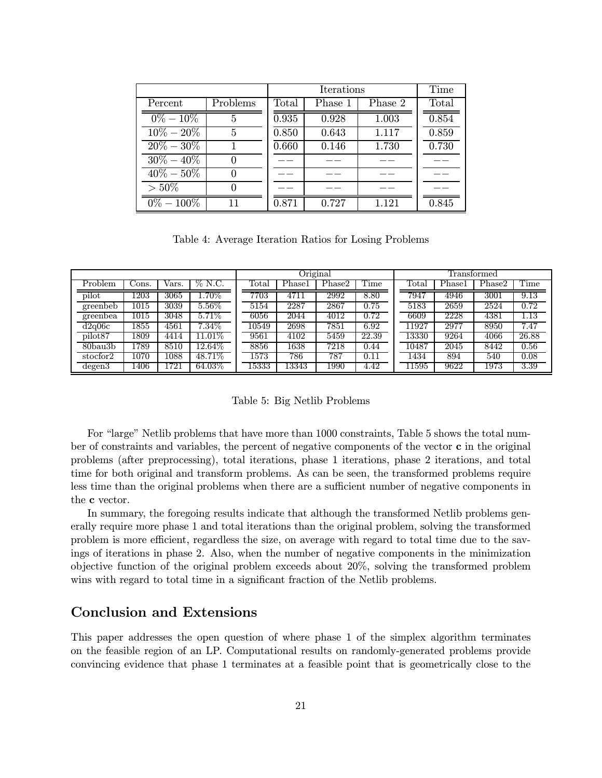|                      |          | Time  |         |         |       |
|----------------------|----------|-------|---------|---------|-------|
| Percent              | Problems | Total | Phase 1 | Phase 2 | Total |
| $0\% - 10\%$         | 5        | 0.935 | 0.928   | 1.003   | 0.854 |
| $10\% - 20\%$        | 5        | 0.850 | 0.643   | 1.117   | 0.859 |
| $20\% - 30\%$        |          | 0.660 | 0.146   | 1.730   | 0.730 |
| $30\% - 40\%$        |          |       |         |         |       |
| $40\% - 50\%$        | 0        |       |         |         |       |
| $>50\%$              |          |       |         |         |       |
| $\sqrt{0\%} - 100\%$ | 11       | 0.871 | 0.727   | 1.121   | 0.845 |

Table 4: Average Iteration Ratios for Losing Problems

|                     |       |       |           | Original       |                   |        | Transformed |                    |        |                   |                   |
|---------------------|-------|-------|-----------|----------------|-------------------|--------|-------------|--------------------|--------|-------------------|-------------------|
| Problem             | Jons. | Vars. | $\%$ N.C. | $_{\rm Total}$ | Phase1            | Phase2 | Time        | $_{\rm Total}$     | Phase1 | Phase2            | Time              |
| pilot               | 1203  | 3065  | $.70\%$   | 7703           | 4711              | 2992   | 8.80        | 7947               | 4946   | 3001              | 9.13              |
| greenbeb            | 1015  | 3039  | $5.56\%$  | 5154           | 2287              | 2867   | 0.75        | 5183               | 2659   | $25\overline{24}$ | $\overline{0.72}$ |
| greenbea            | 1015  | 3048  | $5.71\%$  | 6056           | $20\overline{44}$ | 4012   | 0.72        | 6609               | 2228   | 4381              | $\overline{1.13}$ |
| d2q06c              | 1855  | 4561  | $7.34\%$  | 10549          | $26\overline{98}$ | 7851   | 6.92        | 11927              | 2977   | 8950              | 7.47              |
| pilot <sub>87</sub> | 1809  | 4414  | $1.01\%$  | 9561           | 4102              | 5459   | 22.39       | $133\overline{30}$ | 9264   | 4066              | 26.88             |
| $80$ bau $3b$       | 1789  | 8510  | 12.64\%   | 8856           | 1638              | 7218   | 0.44        | 10487              | 2045   | 8442              | 0.56              |
| stocfor2            | 1070  | 1088  | 48.71\%   | 1573           | 786               | 787    | 0.11        | 1434               | 894    | 540               | 0.08              |
| degen3              | 1406  | 1721  | 64.03%    | 15333          | 13343             | 1990   | 4.42        | 11595              | 9622   | 1973              | 3.39              |

Table 5: Big Netlib Problems

For "large" Netlib problems that have more than 1000 constraints, Table 5 shows the total number of constraints and variables, the percent of negative components of the vector c in the original problems (after preprocessing), total iterations, phase 1 iterations, phase 2 iterations, and total time for both original and transform problems. As can be seen, the transformed problems require less time than the original problems when there are a sufficient number of negative components in the c vector.

In summary, the foregoing results indicate that although the transformed Netlib problems generally require more phase 1 and total iterations than the original problem, solving the transformed problem is more efficient, regardless the size, on average with regard to total time due to the savings of iterations in phase 2. Also, when the number of negative components in the minimization objective function of the original problem exceeds about 20%, solving the transformed problem wins with regard to total time in a significant fraction of the Netlib problems.

### Conclusion and Extensions

This paper addresses the open question of where phase 1 of the simplex algorithm terminates on the feasible region of an LP. Computational results on randomly-generated problems provide convincing evidence that phase 1 terminates at a feasible point that is geometrically close to the